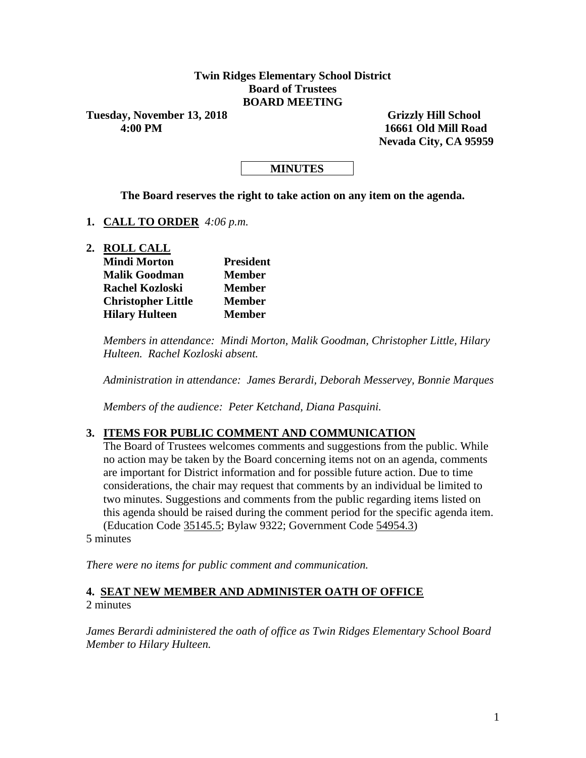#### **Twin Ridges Elementary School District Board of Trustees BOARD MEETING**

Tuesday, November 13, 2018 Grizzly Hill School

 **4:00 PM 16661 Old Mill Road Nevada City, CA 95959**

#### **MINUTES**

**The Board reserves the right to take action on any item on the agenda.**

- **1. CALL TO ORDER** *4:06 p.m.*
- **2. ROLL CALL**

| <b>Mindi Morton</b>       | <b>President</b> |  |  |  |
|---------------------------|------------------|--|--|--|
| <b>Malik Goodman</b>      | <b>Member</b>    |  |  |  |
| <b>Rachel Kozloski</b>    | <b>Member</b>    |  |  |  |
| <b>Christopher Little</b> | <b>Member</b>    |  |  |  |
| <b>Hilary Hulteen</b>     | <b>Member</b>    |  |  |  |

*Members in attendance: Mindi Morton, Malik Goodman, Christopher Little, Hilary Hulteen. Rachel Kozloski absent.*

*Administration in attendance: James Berardi, Deborah Messervey, Bonnie Marques*

*Members of the audience: Peter Ketchand, Diana Pasquini.*

#### **3. ITEMS FOR PUBLIC COMMENT AND COMMUNICATION**

The Board of Trustees welcomes comments and suggestions from the public. While no action may be taken by the Board concerning items not on an agenda, comments are important for District information and for possible future action. Due to time considerations, the chair may request that comments by an individual be limited to two minutes. Suggestions and comments from the public regarding items listed on this agenda should be raised during the comment period for the specific agenda item. (Education Code 35145.5; Bylaw 9322; Government Code 54954.3)

5 minutes

*There were no items for public comment and communication.*

#### **4. SEAT NEW MEMBER AND ADMINISTER OATH OF OFFICE** 2 minutes

*James Berardi administered the oath of office as Twin Ridges Elementary School Board Member to Hilary Hulteen.*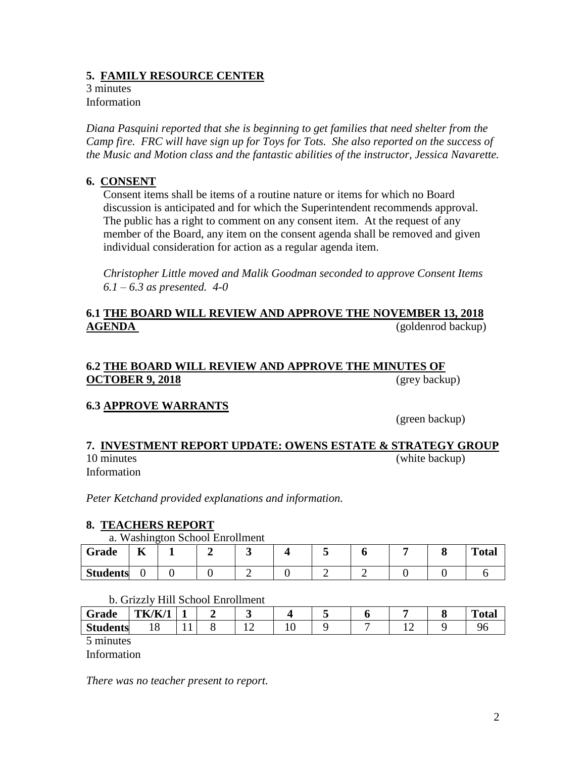## **5. FAMILY RESOURCE CENTER**

3 minutes Information

*Diana Pasquini reported that she is beginning to get families that need shelter from the Camp fire. FRC will have sign up for Toys for Tots. She also reported on the success of the Music and Motion class and the fantastic abilities of the instructor, Jessica Navarette.*

## **6. CONSENT**

Consent items shall be items of a routine nature or items for which no Board discussion is anticipated and for which the Superintendent recommends approval. The public has a right to comment on any consent item. At the request of any member of the Board, any item on the consent agenda shall be removed and given individual consideration for action as a regular agenda item.

*Christopher Little moved and Malik Goodman seconded to approve Consent Items 6.1 – 6.3 as presented. 4-0*

## **6.1 THE BOARD WILL REVIEW AND APPROVE THE NOVEMBER 13, 2018 AGENDA** (goldenrod backup)

#### **6.2 THE BOARD WILL REVIEW AND APPROVE THE MINUTES OF OCTOBER 9, 2018** (grey backup)

# **6.3 APPROVE WARRANTS**

(green backup)

#### **7. INVESTMENT REPORT UPDATE: OWENS ESTATE & STRATEGY GROUP** 10 minutes (white backup)

Information

*Peter Ketchand provided explanations and information.*

## **8. TEACHERS REPORT**

#### a. Washington School Enrollment

| Grade           | $-$<br>T7 |  |  |  |  | <b>Total</b> |
|-----------------|-----------|--|--|--|--|--------------|
| <b>Students</b> |           |  |  |  |  |              |

#### b. Grizzly Hill School Enrollment

| $\sim$<br>Grade          | <b>TK/K/1</b> |     | - |        |  |   | <b>Total</b> |
|--------------------------|---------------|-----|---|--------|--|---|--------------|
| <b>Students</b>          | ັ             | . . |   | ◡<br>- |  | ∸ |              |
| $\overline{\phantom{0}}$ |               |     |   |        |  |   |              |

5 minutes

Information

*There was no teacher present to report.*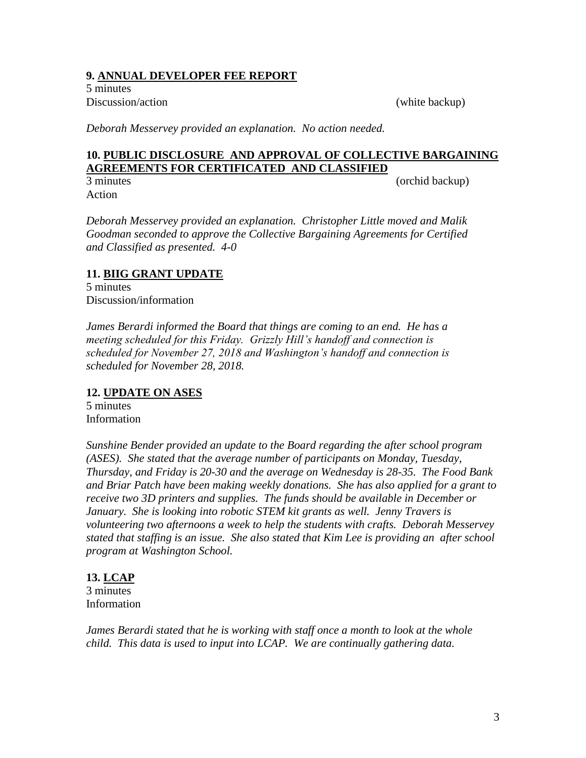#### **9. ANNUAL DEVELOPER FEE REPORT**

5 minutes Discussion/action (white backup)

*Deborah Messervey provided an explanation. No action needed.*

## **10. PUBLIC DISCLOSURE AND APPROVAL OF COLLECTIVE BARGAINING AGREEMENTS FOR CERTIFICATED AND CLASSIFIED**

Action

3 minutes (orchid backup)

*Deborah Messervey provided an explanation. Christopher Little moved and Malik Goodman seconded to approve the Collective Bargaining Agreements for Certified and Classified as presented. 4-0*

## **11. BIIG GRANT UPDATE**

5 minutes Discussion/information

*James Berardi informed the Board that things are coming to an end. He has a meeting scheduled for this Friday. Grizzly Hill's handoff and connection is scheduled for November 27, 2018 and Washington's handoff and connection is scheduled for November 28, 2018.*

## **12. UPDATE ON ASES**

5 minutes Information

*Sunshine Bender provided an update to the Board regarding the after school program (ASES). She stated that the average number of participants on Monday, Tuesday, Thursday, and Friday is 20-30 and the average on Wednesday is 28-35. The Food Bank and Briar Patch have been making weekly donations. She has also applied for a grant to receive two 3D printers and supplies. The funds should be available in December or January. She is looking into robotic STEM kit grants as well. Jenny Travers is volunteering two afternoons a week to help the students with crafts. Deborah Messervey stated that staffing is an issue. She also stated that Kim Lee is providing an after school program at Washington School.*

# **13. LCAP**

3 minutes Information

*James Berardi stated that he is working with staff once a month to look at the whole child. This data is used to input into LCAP. We are continually gathering data.*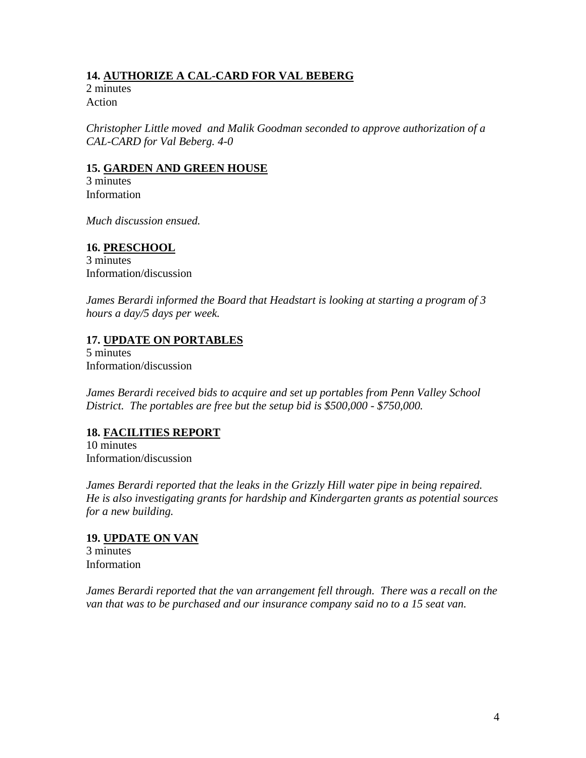## **14. AUTHORIZE A CAL-CARD FOR VAL BEBERG**

2 minutes Action

*Christopher Little moved and Malik Goodman seconded to approve authorization of a CAL-CARD for Val Beberg. 4-0*

#### **15. GARDEN AND GREEN HOUSE**

3 minutes Information

*Much discussion ensued.*

#### **16. PRESCHOOL**

3 minutes Information/discussion

*James Berardi informed the Board that Headstart is looking at starting a program of 3 hours a day/5 days per week.*

## **17. UPDATE ON PORTABLES**

5 minutes Information/discussion

*James Berardi received bids to acquire and set up portables from Penn Valley School District. The portables are free but the setup bid is \$500,000 - \$750,000.*

## **18. FACILITIES REPORT**

10 minutes Information/discussion

*James Berardi reported that the leaks in the Grizzly Hill water pipe in being repaired. He is also investigating grants for hardship and Kindergarten grants as potential sources for a new building.*

## **19. UPDATE ON VAN**

3 minutes Information

*James Berardi reported that the van arrangement fell through. There was a recall on the van that was to be purchased and our insurance company said no to a 15 seat van.*